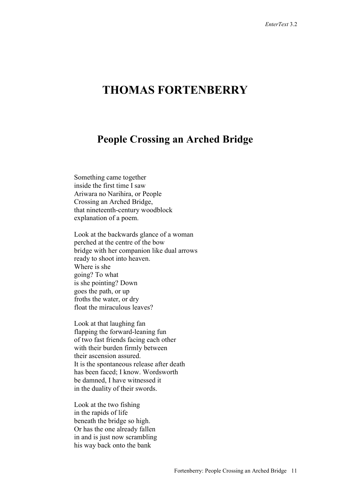## **THOMAS FORTENBERRY**

## **People Crossing an Arched Bridge**

Something came together inside the first time I saw Ariwara no Narihira, or People Crossing an Arched Bridge, that nineteenth-century woodblock explanation of a poem.

 Look at the backwards glance of a woman perched at the centre of the bow bridge with her companion like dual arrows ready to shoot into heaven. Where is she going? To what is she pointing? Down goes the path, or up froths the water, or dry float the miraculous leaves?

 Look at that laughing fan flapping the forward-leaning fun of two fast friends facing each other with their burden firmly between their ascension assured. It is the spontaneous release after death has been faced; I know. Wordsworth be damned, I have witnessed it in the duality of their swords.

 Look at the two fishing in the rapids of life beneath the bridge so high. Or has the one already fallen in and is just now scrambling his way back onto the bank